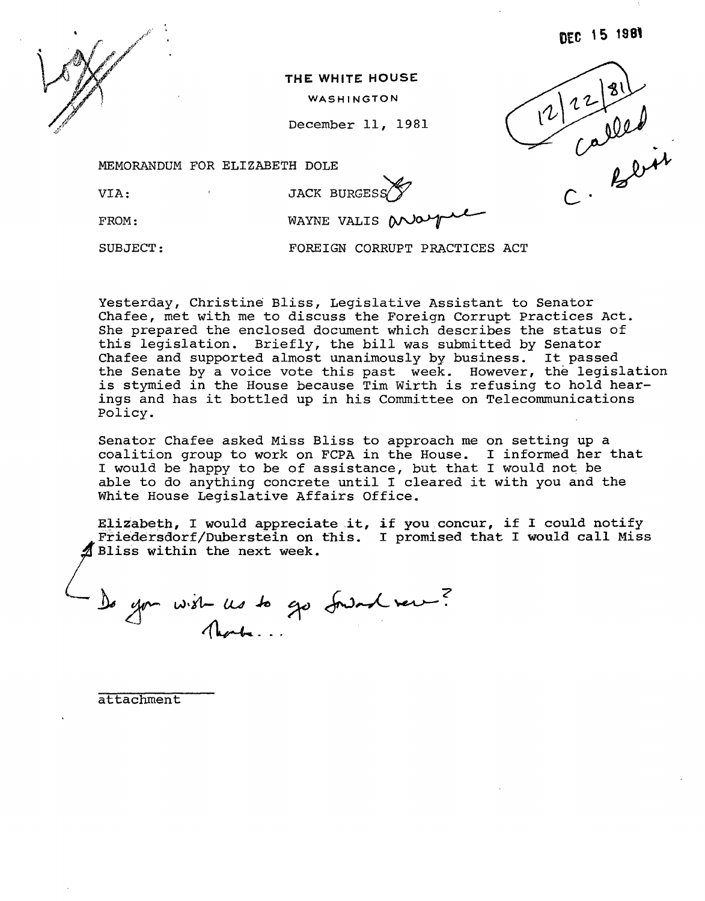

**THE WHITE HOUSE** 

WASHINGTON

December II, 1981



MEMORANDUM FOR ELIZABETH DOLE

VIA:

**JACK BURGESS** 

FROM:

WAYNE VALIS  $M\rightarrow\$ 

SUBJECT:

FOREIGN CORRUPT PRACTICES ACT

Yesterday, Christine Bliss, Legislative Assistant to Senator Chafee, met with me to discuss the Foreign Corrupt Practices Act. She prepared the enclosed document which describes the status of this legislation. Briefly, the bill was submitted by Senator Chafee and supported almost unanimously by business. It passed the Senate by a voice vote this past week. However, the legislation is stymied in the House because Tim Wirth is refusing to hold hearings and has it bottled up in his Committee on Telecommunications Policy.

Senator Chafee asked Miss Bliss to approach me on setting up a coalition group to work on FCPA in the House. I informed her that I would be happy to be of assistance, but that I would not be able to do anything concrete until I cleared it with you and the White House Legislative Affairs Office.

Elizabeth, I would appreciate it, if you concur, if I could notify Friedersdorf/Duberstein on this. I promised that I would call Miss ~ Bliss within the next week .

De you wish us to go fordand ver ?

attachment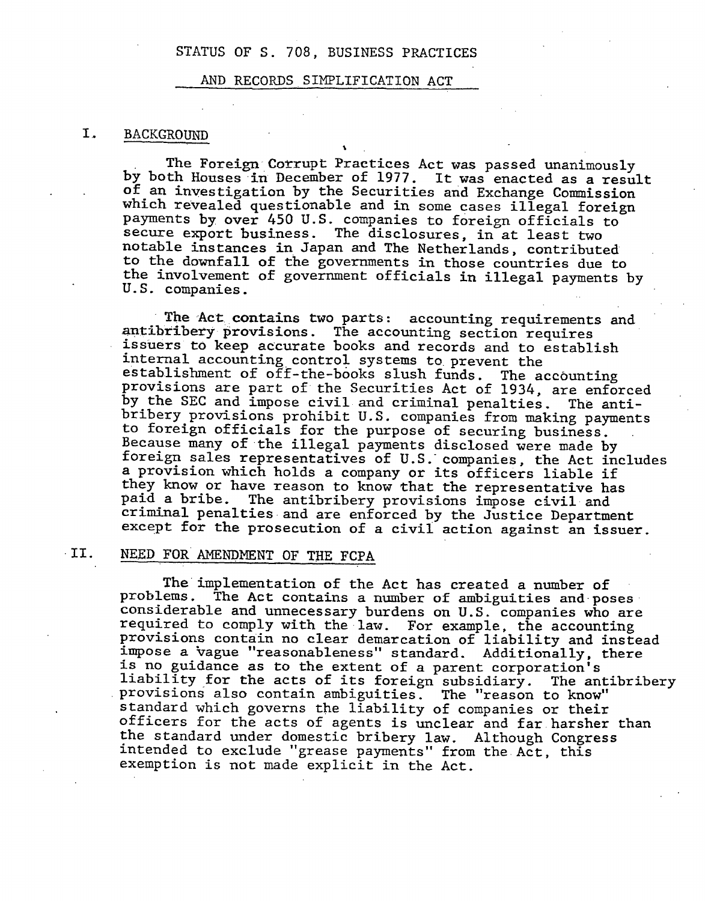#### AND RECORDS SIMPLIFICATION ACT

 $\overline{\phantom{a}}$ 

## I. BACKGROUND

The Foreign Corrupt Practices Act was passed unanimously by both Houses in December of 1977. It was enacted as a result of an investigation by the Securities and Exchange Commission which revealed questionable and in some cases illegal foreign payments by over 450 U.S. companies to foreign officials to secure export business. The disclosures, in at least two notable instances in Japan and The Netherlands, contributed to the downfall of the governments in those countries due to the involvement of government officials in illegal payments by U.S. companies.

The Act contains two parts: accounting requirements and antibribery provisions. The accounting section requires issuers to keep accurate books and records and to establish internal accounting control systems to prevent the establishment of off-the-books slush funds. The accounting provisions are part of the Securities Act of 1934. are enforced by the SEC and impose civil and criminal penalties. The antibribery provisions prohibit U.S. companies from making payments<br>to foreign officials for the purpose of securing business. Because many of the illegal payments disclosed were made by foreign sales representatives of U.S. companies, the Act includes a provision which holds a company or its officers liable if they know or have reason to know that the representative has paid a bribe. The antibribery provisions impose civil and criminal penalties and are enforced by the Justice Department except for the prosecution of a civil action against an issuer.

# ·11. NEED FOR AMENDMENT OF THE FCPA

The implementation of the Act has created a number of problems. The Act contains a number of ambiguities and· poses considerable and unnecessary burdens on U.S. companies who are required to comply with the law. For example, the accounting provisions contain no clear demarcation of liability and instead impose a vague "reasonableness" standard. Additionally, there is no guidance as to the extent of a parent corporation's liability for the acts of its foreign subsidiary. The antibribery provisions also contain ambiguities. The "reason to know" standard which governs the liability of companies or their officers for the acts of agents is unclear and far harsher than the standard under domestic bribery law. Although Congress intended to exclude "grease payments" from the Act, this exemption is not made explicit in the Act.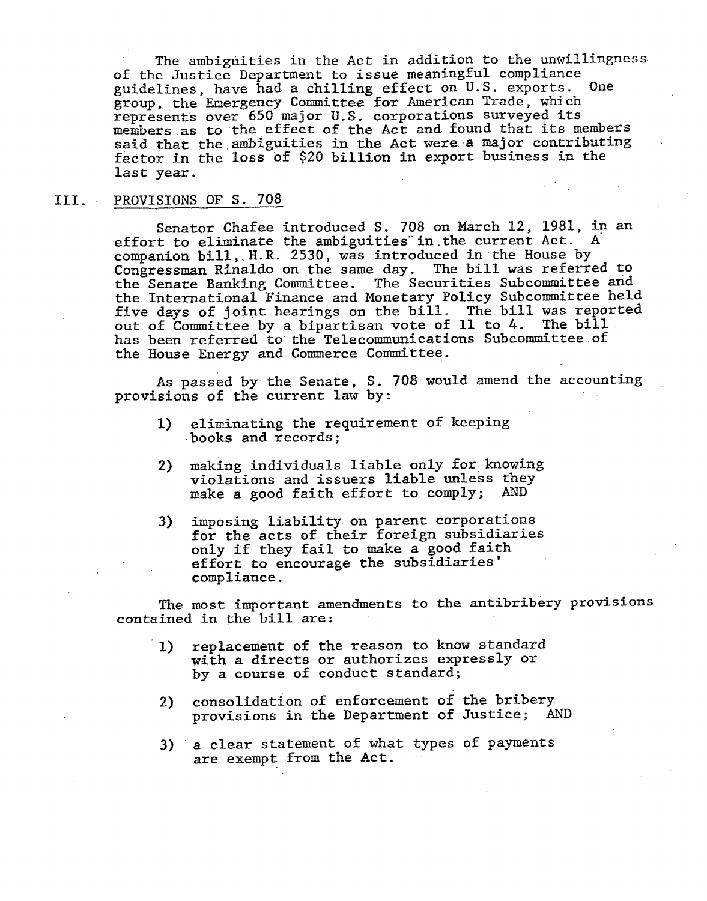The ambiguities in the Act in addition to the unwillingness of the Justice Department to issue meaningful compliance guidelines, have had a chilling effect on U.S. exports. One group, the Emergency Committee for American Trade, which represents over 650 major u.s. corporations surveyed its members as to 'the effect of the Act and found that its members said that the ambiguities in the Act were a major contributing factor in the loss of \$20 billion in export business in the last year.

#### III. PROVISIONS OF S. 708

Senator Chafee introduced S. 708 on March 12, 1981, in an effort to eliminate the ambiguities in the current Act. companion bill, H.R. 2530, was introduced in the House by Congressman Rinaldo on the same day. The bill was referred to the Senate Banking Committee. The Securities Subcommittee arid the International Finance and Monetary Policy Subcommittee held five days of joint hearings on the bill. The bill was reported out of Committee by a. bipartisan vote of 11 to 4. The bill has been referred to the Telecommunications Subcommittee.of the House Energy and Commerce Committee.

As passed by the Senate, S. 708 would amend the accounting provisions of the current law by:

- 1) eliminating the requirement of keeping ·books and records;
- 2) making individuals liable only for knowing violations and issuers liable unless they make a good faith effort to comply; AND
- 3) imposing liability on parent corporations for the acts of their foreign subsidiaries only if they fail to make a good faith effort to encourage the subsidiaries' . compliance.

The most important amendments to the antibribery provisions contained in the bill are:

- 1) replacement of the reason to know standard with a directs or authorizes expressly or by a course of conduct standard;
- 2) consolidation of enforcement of the bribery provisions in the Department of Justice; AND
- 3) a clear statement of what types of payments are exempt from the Act.